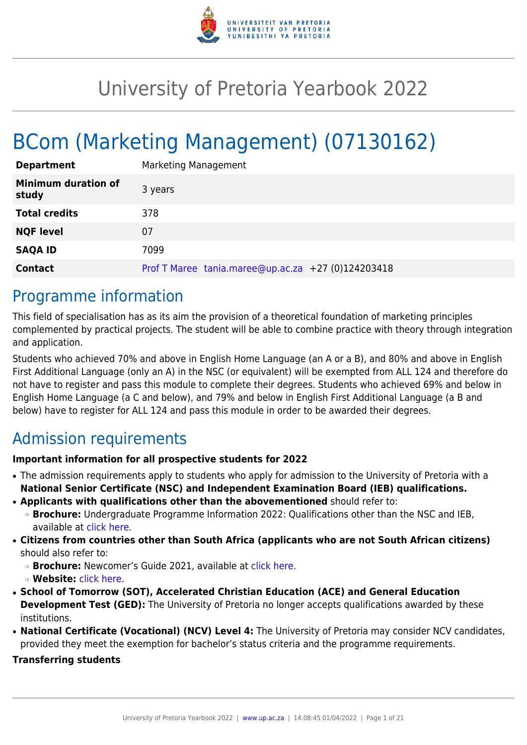

# University of Pretoria Yearbook 2022

# BCom (Marketing Management) (07130162)

| <b>Department</b>                   | Marketing Management                               |
|-------------------------------------|----------------------------------------------------|
| <b>Minimum duration of</b><br>study | 3 years                                            |
| <b>Total credits</b>                | 378                                                |
| <b>NQF level</b>                    | 07                                                 |
| <b>SAQA ID</b>                      | 7099                                               |
| <b>Contact</b>                      | Prof T Maree tania.maree@up.ac.za +27 (0)124203418 |

# Programme information

This field of specialisation has as its aim the provision of a theoretical foundation of marketing principles complemented by practical projects. The student will be able to combine practice with theory through integration and application.

Students who achieved 70% and above in English Home Language (an A or a B), and 80% and above in English First Additional Language (only an A) in the NSC (or equivalent) will be exempted from ALL 124 and therefore do not have to register and pass this module to complete their degrees. Students who achieved 69% and below in English Home Language (a C and below), and 79% and below in English First Additional Language (a B and below) have to register for ALL 124 and pass this module in order to be awarded their degrees.

# Admission requirements

# **Important information for all prospective students for 2022**

- The admission requirements apply to students who apply for admission to the University of Pretoria with a **National Senior Certificate (NSC) and Independent Examination Board (IEB) qualifications.**
- **Applicants with qualifications other than the abovementioned** should refer to:
	- ❍ **Brochure:** Undergraduate Programme Information 2022: Qualifications other than the NSC and IEB, available at [click here.](https://www.up.ac.za/students/article/2749263/admission-information)
- **Citizens from countries other than South Africa (applicants who are not South African citizens)** should also refer to:
	- ❍ **Brochure:** Newcomer's Guide 2021, available at [click here.](https://www.up.ac.za/students/article/2749263/admission-information)
	- ❍ **Website:** [click here](http://www.up.ac.za/international-cooperation-division).
- **School of Tomorrow (SOT), Accelerated Christian Education (ACE) and General Education Development Test (GED):** The University of Pretoria no longer accepts qualifications awarded by these institutions.
- **National Certificate (Vocational) (NCV) Level 4:** The University of Pretoria may consider NCV candidates, provided they meet the exemption for bachelor's status criteria and the programme requirements.

# **Transferring students**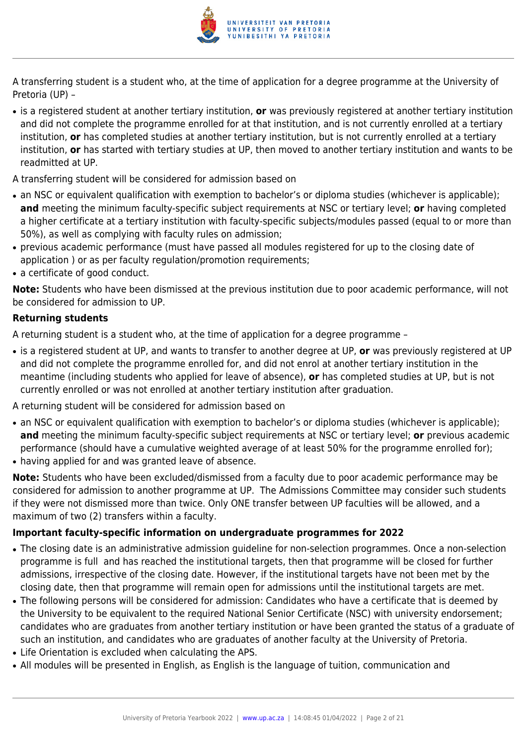

A transferring student is a student who, at the time of application for a degree programme at the University of Pretoria (UP) –

- is a registered student at another tertiary institution, **or** was previously registered at another tertiary institution and did not complete the programme enrolled for at that institution, and is not currently enrolled at a tertiary institution, **or** has completed studies at another tertiary institution, but is not currently enrolled at a tertiary institution, **or** has started with tertiary studies at UP, then moved to another tertiary institution and wants to be readmitted at UP.
- A transferring student will be considered for admission based on
- an NSC or equivalent qualification with exemption to bachelor's or diploma studies (whichever is applicable); **and** meeting the minimum faculty-specific subject requirements at NSC or tertiary level; **or** having completed a higher certificate at a tertiary institution with faculty-specific subjects/modules passed (equal to or more than 50%), as well as complying with faculty rules on admission;
- previous academic performance (must have passed all modules registered for up to the closing date of application ) or as per faculty regulation/promotion requirements;
- a certificate of good conduct.

**Note:** Students who have been dismissed at the previous institution due to poor academic performance, will not be considered for admission to UP.

# **Returning students**

A returning student is a student who, at the time of application for a degree programme –

● is a registered student at UP, and wants to transfer to another degree at UP, **or** was previously registered at UP and did not complete the programme enrolled for, and did not enrol at another tertiary institution in the meantime (including students who applied for leave of absence), **or** has completed studies at UP, but is not currently enrolled or was not enrolled at another tertiary institution after graduation.

A returning student will be considered for admission based on

- an NSC or equivalent qualification with exemption to bachelor's or diploma studies (whichever is applicable); **and** meeting the minimum faculty-specific subject requirements at NSC or tertiary level; **or** previous academic performance (should have a cumulative weighted average of at least 50% for the programme enrolled for);
- having applied for and was granted leave of absence.

**Note:** Students who have been excluded/dismissed from a faculty due to poor academic performance may be considered for admission to another programme at UP. The Admissions Committee may consider such students if they were not dismissed more than twice. Only ONE transfer between UP faculties will be allowed, and a maximum of two (2) transfers within a faculty.

# **Important faculty-specific information on undergraduate programmes for 2022**

- The closing date is an administrative admission guideline for non-selection programmes. Once a non-selection programme is full and has reached the institutional targets, then that programme will be closed for further admissions, irrespective of the closing date. However, if the institutional targets have not been met by the closing date, then that programme will remain open for admissions until the institutional targets are met.
- The following persons will be considered for admission: Candidates who have a certificate that is deemed by the University to be equivalent to the required National Senior Certificate (NSC) with university endorsement; candidates who are graduates from another tertiary institution or have been granted the status of a graduate of such an institution, and candidates who are graduates of another faculty at the University of Pretoria.
- Life Orientation is excluded when calculating the APS.
- All modules will be presented in English, as English is the language of tuition, communication and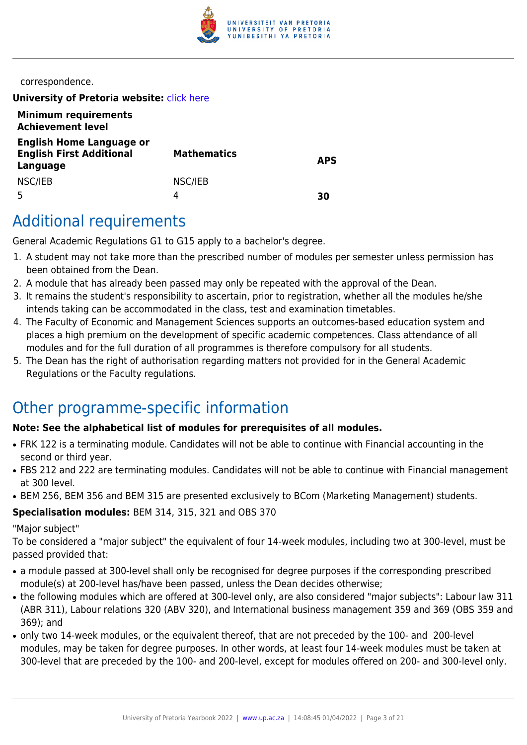

correspondence.

**University of Pretoria website: [click here](http://www.up.ac.za/ems)** 

| <b>Minimum requirements</b><br><b>Achievement level</b>                        |                    |            |
|--------------------------------------------------------------------------------|--------------------|------------|
| <b>English Home Language or</b><br><b>English First Additional</b><br>Language | <b>Mathematics</b> | <b>APS</b> |
| NSC/IEB                                                                        | NSC/IEB<br>4       | 30         |

# Additional requirements

General Academic Regulations G1 to G15 apply to a bachelor's degree.

- 1. A student may not take more than the prescribed number of modules per semester unless permission has been obtained from the Dean.
- 2. A module that has already been passed may only be repeated with the approval of the Dean.
- 3. It remains the student's responsibility to ascertain, prior to registration, whether all the modules he/she intends taking can be accommodated in the class, test and examination timetables.
- 4. The Faculty of Economic and Management Sciences supports an outcomes-based education system and places a high premium on the development of specific academic competences. Class attendance of all modules and for the full duration of all programmes is therefore compulsory for all students.
- 5. The Dean has the right of authorisation regarding matters not provided for in the General Academic Regulations or the Faculty regulations.

# Other programme-specific information

# **Note: See the alphabetical list of modules for prerequisites of all modules.**

- FRK 122 is a terminating module. Candidates will not be able to continue with Financial accounting in the second or third year.
- FBS 212 and 222 are terminating modules. Candidates will not be able to continue with Financial management at 300 level.
- BEM 256, BEM 356 and BEM 315 are presented exclusively to BCom (Marketing Management) students.

# **Specialisation modules:** BEM 314, 315, 321 and OBS 370

# "Major subject"

To be considered a "major subject" the equivalent of four 14-week modules, including two at 300-level, must be passed provided that:

- a module passed at 300-level shall only be recognised for degree purposes if the corresponding prescribed module(s) at 200-level has/have been passed, unless the Dean decides otherwise;
- the following modules which are offered at 300-level only, are also considered "major subjects": Labour law 311 (ABR 311), Labour relations 320 (ABV 320), and International business management 359 and 369 (OBS 359 and 369); and
- only two 14-week modules, or the equivalent thereof, that are not preceded by the 100- and 200-level modules, may be taken for degree purposes. In other words, at least four 14-week modules must be taken at 300-level that are preceded by the 100- and 200-level, except for modules offered on 200- and 300-level only.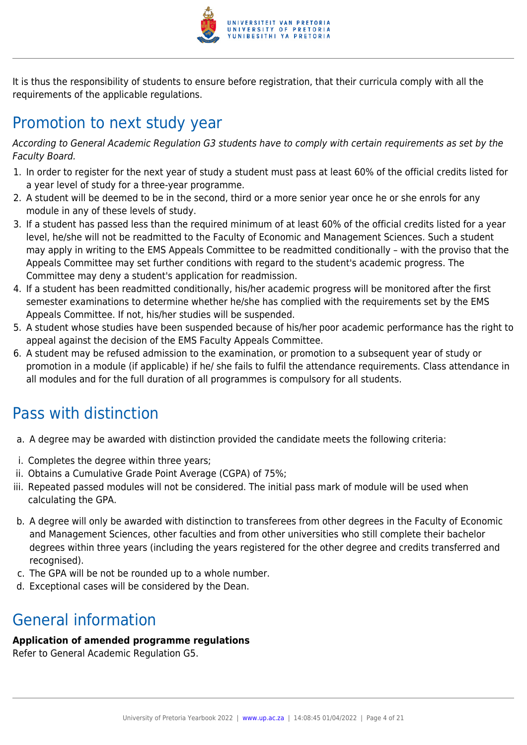

It is thus the responsibility of students to ensure before registration, that their curricula comply with all the requirements of the applicable regulations.

# Promotion to next study year

According to General Academic Regulation G3 students have to comply with certain requirements as set by the Faculty Board.

- 1. In order to register for the next year of study a student must pass at least 60% of the official credits listed for a year level of study for a three-year programme.
- 2. A student will be deemed to be in the second, third or a more senior year once he or she enrols for any module in any of these levels of study.
- 3. If a student has passed less than the required minimum of at least 60% of the official credits listed for a year level, he/she will not be readmitted to the Faculty of Economic and Management Sciences. Such a student may apply in writing to the EMS Appeals Committee to be readmitted conditionally – with the proviso that the Appeals Committee may set further conditions with regard to the student's academic progress. The Committee may deny a student's application for readmission.
- 4. If a student has been readmitted conditionally, his/her academic progress will be monitored after the first semester examinations to determine whether he/she has complied with the requirements set by the EMS Appeals Committee. If not, his/her studies will be suspended.
- 5. A student whose studies have been suspended because of his/her poor academic performance has the right to appeal against the decision of the EMS Faculty Appeals Committee.
- 6. A student may be refused admission to the examination, or promotion to a subsequent year of study or promotion in a module (if applicable) if he/ she fails to fulfil the attendance requirements. Class attendance in all modules and for the full duration of all programmes is compulsory for all students.

# Pass with distinction

- a. A degree may be awarded with distinction provided the candidate meets the following criteria:
- i. Completes the degree within three years;
- ii. Obtains a Cumulative Grade Point Average (CGPA) of 75%;
- iii. Repeated passed modules will not be considered. The initial pass mark of module will be used when calculating the GPA.
- b. A degree will only be awarded with distinction to transferees from other degrees in the Faculty of Economic and Management Sciences, other faculties and from other universities who still complete their bachelor degrees within three years (including the years registered for the other degree and credits transferred and recognised).
- c. The GPA will be not be rounded up to a whole number.
- d. Exceptional cases will be considered by the Dean.

# General information

# **Application of amended programme regulations**

Refer to General Academic Regulation G5.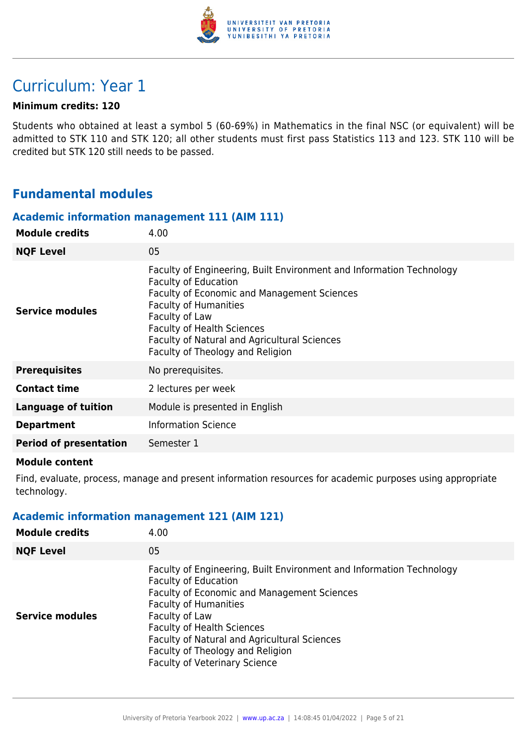

# Curriculum: Year 1

# **Minimum credits: 120**

Students who obtained at least a symbol 5 (60-69%) in Mathematics in the final NSC (or equivalent) will be admitted to STK 110 and STK 120; all other students must first pass Statistics 113 and 123. STK 110 will be credited but STK 120 still needs to be passed.

# **Fundamental modules**

#### **Academic information management 111 (AIM 111)**

| <b>Module credits</b>         | 4.00                                                                                                                                                                                                                                                                                                                          |
|-------------------------------|-------------------------------------------------------------------------------------------------------------------------------------------------------------------------------------------------------------------------------------------------------------------------------------------------------------------------------|
| <b>NQF Level</b>              | 05                                                                                                                                                                                                                                                                                                                            |
| <b>Service modules</b>        | Faculty of Engineering, Built Environment and Information Technology<br><b>Faculty of Education</b><br>Faculty of Economic and Management Sciences<br><b>Faculty of Humanities</b><br>Faculty of Law<br><b>Faculty of Health Sciences</b><br>Faculty of Natural and Agricultural Sciences<br>Faculty of Theology and Religion |
| <b>Prerequisites</b>          | No prerequisites.                                                                                                                                                                                                                                                                                                             |
| <b>Contact time</b>           | 2 lectures per week                                                                                                                                                                                                                                                                                                           |
| <b>Language of tuition</b>    | Module is presented in English                                                                                                                                                                                                                                                                                                |
| <b>Department</b>             | <b>Information Science</b>                                                                                                                                                                                                                                                                                                    |
| <b>Period of presentation</b> | Semester 1                                                                                                                                                                                                                                                                                                                    |

#### **Module content**

Find, evaluate, process, manage and present information resources for academic purposes using appropriate technology.

# **Academic information management 121 (AIM 121)**

| <b>Module credits</b>  | 4.00                                                                                                                                                                                                                                                                                                                                                                  |
|------------------------|-----------------------------------------------------------------------------------------------------------------------------------------------------------------------------------------------------------------------------------------------------------------------------------------------------------------------------------------------------------------------|
| <b>NQF Level</b>       | 05                                                                                                                                                                                                                                                                                                                                                                    |
| <b>Service modules</b> | Faculty of Engineering, Built Environment and Information Technology<br><b>Faculty of Education</b><br>Faculty of Economic and Management Sciences<br><b>Faculty of Humanities</b><br>Faculty of Law<br><b>Faculty of Health Sciences</b><br>Faculty of Natural and Agricultural Sciences<br>Faculty of Theology and Religion<br><b>Faculty of Veterinary Science</b> |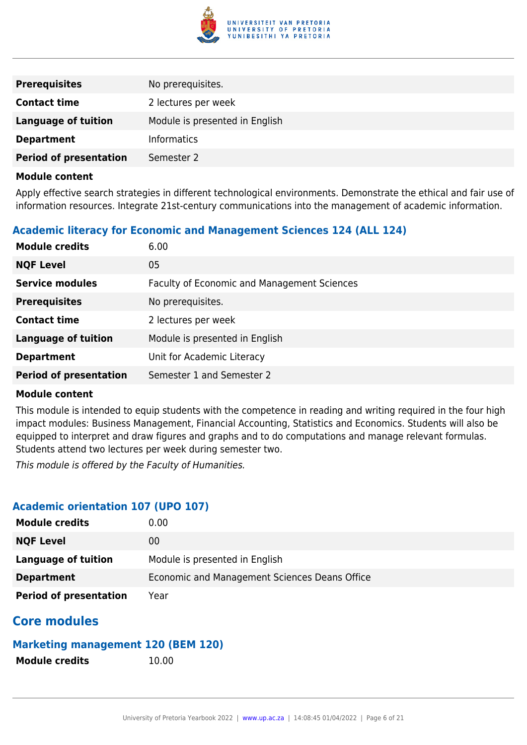

| <b>Prerequisites</b>          | No prerequisites.              |
|-------------------------------|--------------------------------|
| <b>Contact time</b>           | 2 lectures per week            |
| <b>Language of tuition</b>    | Module is presented in English |
| <b>Department</b>             | <b>Informatics</b>             |
| <b>Period of presentation</b> | Semester 2                     |

Apply effective search strategies in different technological environments. Demonstrate the ethical and fair use of information resources. Integrate 21st-century communications into the management of academic information.

# **Academic literacy for Economic and Management Sciences 124 (ALL 124)**

| <b>Module credits</b>         | 6.00                                               |
|-------------------------------|----------------------------------------------------|
| <b>NQF Level</b>              | 05                                                 |
| <b>Service modules</b>        | <b>Faculty of Economic and Management Sciences</b> |
| <b>Prerequisites</b>          | No prerequisites.                                  |
| <b>Contact time</b>           | 2 lectures per week                                |
| <b>Language of tuition</b>    | Module is presented in English                     |
| <b>Department</b>             | Unit for Academic Literacy                         |
| <b>Period of presentation</b> | Semester 1 and Semester 2                          |

# **Module content**

This module is intended to equip students with the competence in reading and writing required in the four high impact modules: Business Management, Financial Accounting, Statistics and Economics. Students will also be equipped to interpret and draw figures and graphs and to do computations and manage relevant formulas. Students attend two lectures per week during semester two.

This module is offered by the Faculty of Humanities.

# **Academic orientation 107 (UPO 107)**

| <b>Module credits</b>         | $0.00\,$                                      |
|-------------------------------|-----------------------------------------------|
| <b>NQF Level</b>              | 00                                            |
| Language of tuition           | Module is presented in English                |
| <b>Department</b>             | Economic and Management Sciences Deans Office |
| <b>Period of presentation</b> | Year                                          |

# **Core modules**

# **Marketing management 120 (BEM 120)**

**Module credits** 10.00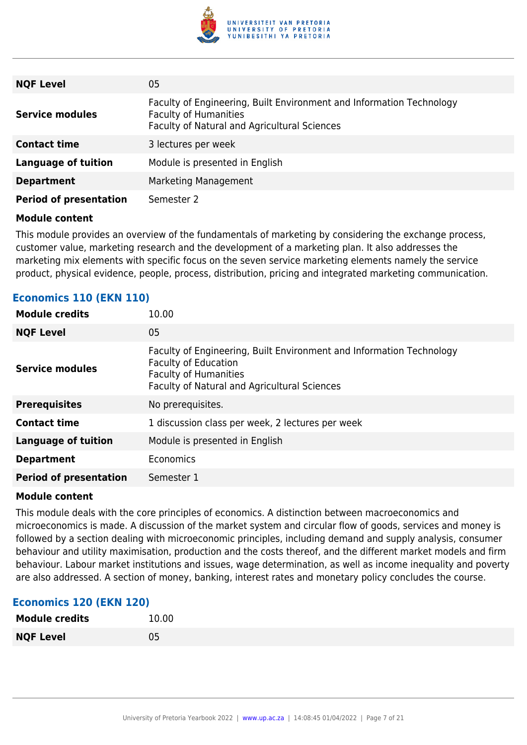

| <b>NQF Level</b>              | 05                                                                                                                                                   |
|-------------------------------|------------------------------------------------------------------------------------------------------------------------------------------------------|
| <b>Service modules</b>        | Faculty of Engineering, Built Environment and Information Technology<br><b>Faculty of Humanities</b><br>Faculty of Natural and Agricultural Sciences |
| <b>Contact time</b>           | 3 lectures per week                                                                                                                                  |
| <b>Language of tuition</b>    | Module is presented in English                                                                                                                       |
| <b>Department</b>             | Marketing Management                                                                                                                                 |
| <b>Period of presentation</b> | Semester 2                                                                                                                                           |

This module provides an overview of the fundamentals of marketing by considering the exchange process, customer value, marketing research and the development of a marketing plan. It also addresses the marketing mix elements with specific focus on the seven service marketing elements namely the service product, physical evidence, people, process, distribution, pricing and integrated marketing communication.

| <b>Module credits</b>         | 10.00                                                                                                                                                                               |
|-------------------------------|-------------------------------------------------------------------------------------------------------------------------------------------------------------------------------------|
| <b>NQF Level</b>              | 05                                                                                                                                                                                  |
| <b>Service modules</b>        | Faculty of Engineering, Built Environment and Information Technology<br><b>Faculty of Education</b><br><b>Faculty of Humanities</b><br>Faculty of Natural and Agricultural Sciences |
| <b>Prerequisites</b>          | No prerequisites.                                                                                                                                                                   |
| <b>Contact time</b>           | 1 discussion class per week, 2 lectures per week                                                                                                                                    |
| <b>Language of tuition</b>    | Module is presented in English                                                                                                                                                      |
| <b>Department</b>             | Economics                                                                                                                                                                           |
| <b>Period of presentation</b> | Semester 1                                                                                                                                                                          |

# **Economics 110 (EKN 110)**

#### **Module content**

This module deals with the core principles of economics. A distinction between macroeconomics and microeconomics is made. A discussion of the market system and circular flow of goods, services and money is followed by a section dealing with microeconomic principles, including demand and supply analysis, consumer behaviour and utility maximisation, production and the costs thereof, and the different market models and firm behaviour. Labour market institutions and issues, wage determination, as well as income inequality and poverty are also addressed. A section of money, banking, interest rates and monetary policy concludes the course.

# **Economics 120 (EKN 120)**

| <b>Module credits</b> | 10.00 |
|-----------------------|-------|
| <b>NQF Level</b>      | 05    |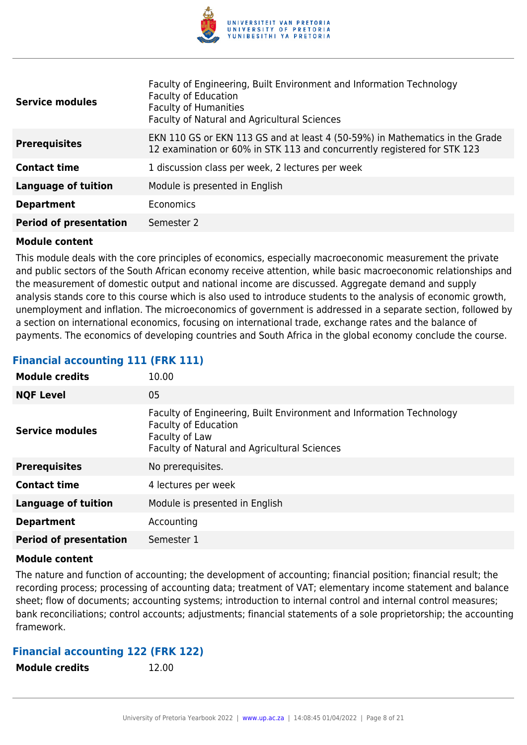

| <b>Service modules</b>        | Faculty of Engineering, Built Environment and Information Technology<br><b>Faculty of Education</b><br><b>Faculty of Humanities</b><br>Faculty of Natural and Agricultural Sciences |
|-------------------------------|-------------------------------------------------------------------------------------------------------------------------------------------------------------------------------------|
| <b>Prerequisites</b>          | EKN 110 GS or EKN 113 GS and at least 4 (50-59%) in Mathematics in the Grade<br>12 examination or 60% in STK 113 and concurrently registered for STK 123                            |
| <b>Contact time</b>           | 1 discussion class per week, 2 lectures per week                                                                                                                                    |
| <b>Language of tuition</b>    | Module is presented in English                                                                                                                                                      |
| <b>Department</b>             | Economics                                                                                                                                                                           |
| <b>Period of presentation</b> | Semester 2                                                                                                                                                                          |

This module deals with the core principles of economics, especially macroeconomic measurement the private and public sectors of the South African economy receive attention, while basic macroeconomic relationships and the measurement of domestic output and national income are discussed. Aggregate demand and supply analysis stands core to this course which is also used to introduce students to the analysis of economic growth, unemployment and inflation. The microeconomics of government is addressed in a separate section, followed by a section on international economics, focusing on international trade, exchange rates and the balance of payments. The economics of developing countries and South Africa in the global economy conclude the course.

# **Financial accounting 111 (FRK 111)**

| <b>Module credits</b>         | 10.00                                                                                                                                                                 |
|-------------------------------|-----------------------------------------------------------------------------------------------------------------------------------------------------------------------|
| <b>NQF Level</b>              | 05                                                                                                                                                                    |
| <b>Service modules</b>        | Faculty of Engineering, Built Environment and Information Technology<br><b>Faculty of Education</b><br>Faculty of Law<br>Faculty of Natural and Agricultural Sciences |
| <b>Prerequisites</b>          | No prerequisites.                                                                                                                                                     |
| <b>Contact time</b>           | 4 lectures per week                                                                                                                                                   |
| <b>Language of tuition</b>    | Module is presented in English                                                                                                                                        |
| <b>Department</b>             | Accounting                                                                                                                                                            |
| <b>Period of presentation</b> | Semester 1                                                                                                                                                            |

#### **Module content**

The nature and function of accounting; the development of accounting; financial position; financial result; the recording process; processing of accounting data; treatment of VAT; elementary income statement and balance sheet; flow of documents; accounting systems; introduction to internal control and internal control measures; bank reconciliations; control accounts; adjustments; financial statements of a sole proprietorship; the accounting framework.

# **Financial accounting 122 (FRK 122)**

**Module credits** 12.00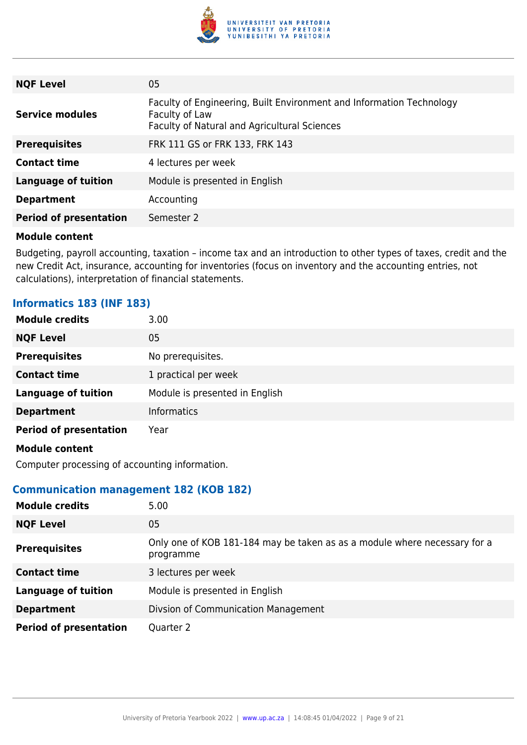

| <b>NQF Level</b>              | 05                                                                                                                                     |
|-------------------------------|----------------------------------------------------------------------------------------------------------------------------------------|
| <b>Service modules</b>        | Faculty of Engineering, Built Environment and Information Technology<br>Faculty of Law<br>Faculty of Natural and Agricultural Sciences |
| <b>Prerequisites</b>          | FRK 111 GS or FRK 133, FRK 143                                                                                                         |
| <b>Contact time</b>           | 4 lectures per week                                                                                                                    |
| <b>Language of tuition</b>    | Module is presented in English                                                                                                         |
| <b>Department</b>             | Accounting                                                                                                                             |
| <b>Period of presentation</b> | Semester 2                                                                                                                             |

Budgeting, payroll accounting, taxation – income tax and an introduction to other types of taxes, credit and the new Credit Act, insurance, accounting for inventories (focus on inventory and the accounting entries, not calculations), interpretation of financial statements.

# **Informatics 183 (INF 183)**

| <b>Module credits</b>         | 3.00                           |
|-------------------------------|--------------------------------|
| <b>NQF Level</b>              | 05                             |
| <b>Prerequisites</b>          | No prerequisites.              |
| <b>Contact time</b>           | 1 practical per week           |
| <b>Language of tuition</b>    | Module is presented in English |
| <b>Department</b>             | <b>Informatics</b>             |
| <b>Period of presentation</b> | Year                           |
| <b>Module content</b>         |                                |

Computer processing of accounting information.

# **Communication management 182 (KOB 182)**

| <b>Module credits</b>         | 5.00                                                                                   |
|-------------------------------|----------------------------------------------------------------------------------------|
| <b>NQF Level</b>              | 05                                                                                     |
| <b>Prerequisites</b>          | Only one of KOB 181-184 may be taken as as a module where necessary for a<br>programme |
| <b>Contact time</b>           | 3 lectures per week                                                                    |
| <b>Language of tuition</b>    | Module is presented in English                                                         |
| <b>Department</b>             | Divsion of Communication Management                                                    |
| <b>Period of presentation</b> | Quarter 2                                                                              |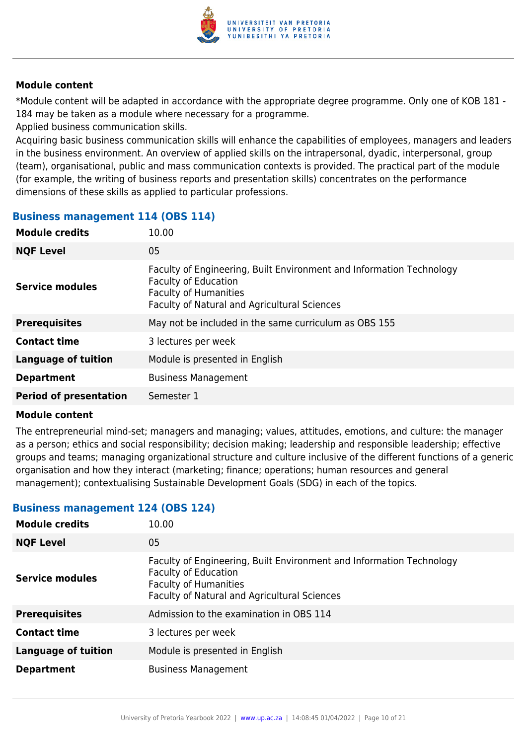

\*Module content will be adapted in accordance with the appropriate degree programme. Only one of KOB 181 - 184 may be taken as a module where necessary for a programme.

Applied business communication skills.

Acquiring basic business communication skills will enhance the capabilities of employees, managers and leaders in the business environment. An overview of applied skills on the intrapersonal, dyadic, interpersonal, group (team), organisational, public and mass communication contexts is provided. The practical part of the module (for example, the writing of business reports and presentation skills) concentrates on the performance dimensions of these skills as applied to particular professions.

# **Business management 114 (OBS 114)**

| <b>Module credits</b><br>10.00              |                                                                                                                                                                                     |
|---------------------------------------------|-------------------------------------------------------------------------------------------------------------------------------------------------------------------------------------|
| <b>NQF Level</b><br>05                      |                                                                                                                                                                                     |
| <b>Service modules</b>                      | Faculty of Engineering, Built Environment and Information Technology<br><b>Faculty of Education</b><br><b>Faculty of Humanities</b><br>Faculty of Natural and Agricultural Sciences |
| <b>Prerequisites</b>                        | May not be included in the same curriculum as OBS 155                                                                                                                               |
| <b>Contact time</b>                         | 3 lectures per week                                                                                                                                                                 |
| <b>Language of tuition</b>                  | Module is presented in English                                                                                                                                                      |
| <b>Department</b>                           | <b>Business Management</b>                                                                                                                                                          |
| <b>Period of presentation</b><br>Semester 1 |                                                                                                                                                                                     |

#### **Module content**

The entrepreneurial mind-set; managers and managing; values, attitudes, emotions, and culture: the manager as a person; ethics and social responsibility; decision making; leadership and responsible leadership; effective groups and teams; managing organizational structure and culture inclusive of the different functions of a generic organisation and how they interact (marketing; finance; operations; human resources and general management); contextualising Sustainable Development Goals (SDG) in each of the topics.

# **Business management 124 (OBS 124)**

| <b>Module credits</b>      | 10.00                                                                                                                                                                               |
|----------------------------|-------------------------------------------------------------------------------------------------------------------------------------------------------------------------------------|
| <b>NQF Level</b>           | 05                                                                                                                                                                                  |
| Service modules            | Faculty of Engineering, Built Environment and Information Technology<br><b>Faculty of Education</b><br><b>Faculty of Humanities</b><br>Faculty of Natural and Agricultural Sciences |
| <b>Prerequisites</b>       | Admission to the examination in OBS 114                                                                                                                                             |
| <b>Contact time</b>        | 3 lectures per week                                                                                                                                                                 |
| <b>Language of tuition</b> | Module is presented in English                                                                                                                                                      |
| <b>Department</b>          | <b>Business Management</b>                                                                                                                                                          |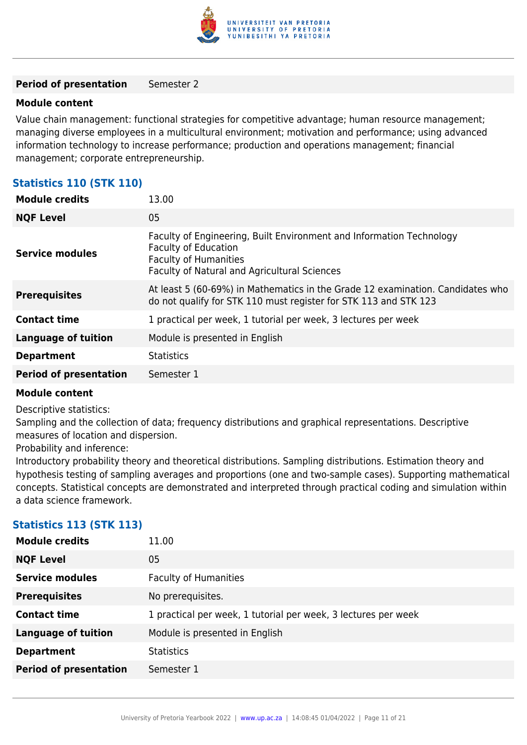

#### **Period of presentation** Semester 2

#### **Module content**

Value chain management: functional strategies for competitive advantage; human resource management; managing diverse employees in a multicultural environment; motivation and performance; using advanced information technology to increase performance; production and operations management; financial management; corporate entrepreneurship.

# **Statistics 110 (STK 110)**

| <b>Module credits</b>         | 13.00                                                                                                                                                                               |
|-------------------------------|-------------------------------------------------------------------------------------------------------------------------------------------------------------------------------------|
| <b>NQF Level</b>              | 05                                                                                                                                                                                  |
| <b>Service modules</b>        | Faculty of Engineering, Built Environment and Information Technology<br><b>Faculty of Education</b><br><b>Faculty of Humanities</b><br>Faculty of Natural and Agricultural Sciences |
| <b>Prerequisites</b>          | At least 5 (60-69%) in Mathematics in the Grade 12 examination. Candidates who<br>do not qualify for STK 110 must register for STK 113 and STK 123                                  |
| <b>Contact time</b>           | 1 practical per week, 1 tutorial per week, 3 lectures per week                                                                                                                      |
| <b>Language of tuition</b>    | Module is presented in English                                                                                                                                                      |
| <b>Department</b>             | <b>Statistics</b>                                                                                                                                                                   |
| <b>Period of presentation</b> | Semester 1                                                                                                                                                                          |

#### **Module content**

Descriptive statistics:

Sampling and the collection of data; frequency distributions and graphical representations. Descriptive measures of location and dispersion.

Probability and inference:

Introductory probability theory and theoretical distributions. Sampling distributions. Estimation theory and hypothesis testing of sampling averages and proportions (one and two-sample cases). Supporting mathematical concepts. Statistical concepts are demonstrated and interpreted through practical coding and simulation within a data science framework.

| <b>Module credits</b>         | 11.00                                                          |
|-------------------------------|----------------------------------------------------------------|
| <b>NQF Level</b>              | 05                                                             |
| <b>Service modules</b>        | <b>Faculty of Humanities</b>                                   |
| <b>Prerequisites</b>          | No prerequisites.                                              |
| <b>Contact time</b>           | 1 practical per week, 1 tutorial per week, 3 lectures per week |
| <b>Language of tuition</b>    | Module is presented in English                                 |
| <b>Department</b>             | <b>Statistics</b>                                              |
| <b>Period of presentation</b> | Semester 1                                                     |
|                               |                                                                |

# **Statistics 113 (STK 113)**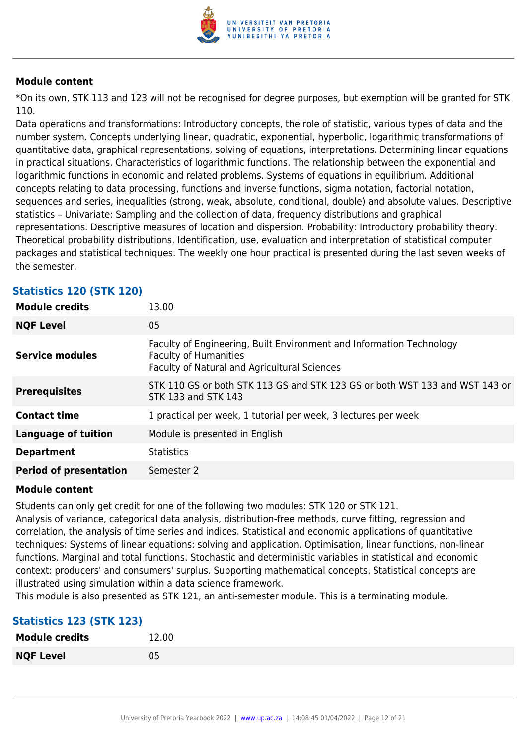

\*On its own, STK 113 and 123 will not be recognised for degree purposes, but exemption will be granted for STK 110.

Data operations and transformations: Introductory concepts, the role of statistic, various types of data and the number system. Concepts underlying linear, quadratic, exponential, hyperbolic, logarithmic transformations of quantitative data, graphical representations, solving of equations, interpretations. Determining linear equations in practical situations. Characteristics of logarithmic functions. The relationship between the exponential and logarithmic functions in economic and related problems. Systems of equations in equilibrium. Additional concepts relating to data processing, functions and inverse functions, sigma notation, factorial notation, sequences and series, inequalities (strong, weak, absolute, conditional, double) and absolute values. Descriptive statistics – Univariate: Sampling and the collection of data, frequency distributions and graphical representations. Descriptive measures of location and dispersion. Probability: Introductory probability theory. Theoretical probability distributions. Identification, use, evaluation and interpretation of statistical computer packages and statistical techniques. The weekly one hour practical is presented during the last seven weeks of the semester.

| <b>Module credits</b>         | 13.00                                                                                                                                                |
|-------------------------------|------------------------------------------------------------------------------------------------------------------------------------------------------|
| <b>NQF Level</b>              | 05                                                                                                                                                   |
| <b>Service modules</b>        | Faculty of Engineering, Built Environment and Information Technology<br><b>Faculty of Humanities</b><br>Faculty of Natural and Agricultural Sciences |
| <b>Prerequisites</b>          | STK 110 GS or both STK 113 GS and STK 123 GS or both WST 133 and WST 143 or<br>STK 133 and STK 143                                                   |
| <b>Contact time</b>           | 1 practical per week, 1 tutorial per week, 3 lectures per week                                                                                       |
| <b>Language of tuition</b>    | Module is presented in English                                                                                                                       |
| <b>Department</b>             | <b>Statistics</b>                                                                                                                                    |
| <b>Period of presentation</b> | Semester 2                                                                                                                                           |

# **Statistics 120 (STK 120)**

#### **Module content**

Students can only get credit for one of the following two modules: STK 120 or STK 121.

Analysis of variance, categorical data analysis, distribution-free methods, curve fitting, regression and correlation, the analysis of time series and indices. Statistical and economic applications of quantitative techniques: Systems of linear equations: solving and application. Optimisation, linear functions, non-linear functions. Marginal and total functions. Stochastic and deterministic variables in statistical and economic context: producers' and consumers' surplus. Supporting mathematical concepts. Statistical concepts are illustrated using simulation within a data science framework.

This module is also presented as STK 121, an anti-semester module. This is a terminating module.

# **Statistics 123 (STK 123)**

| <b>Module credits</b> | 12.00 |
|-----------------------|-------|
| <b>NQF Level</b>      | 05    |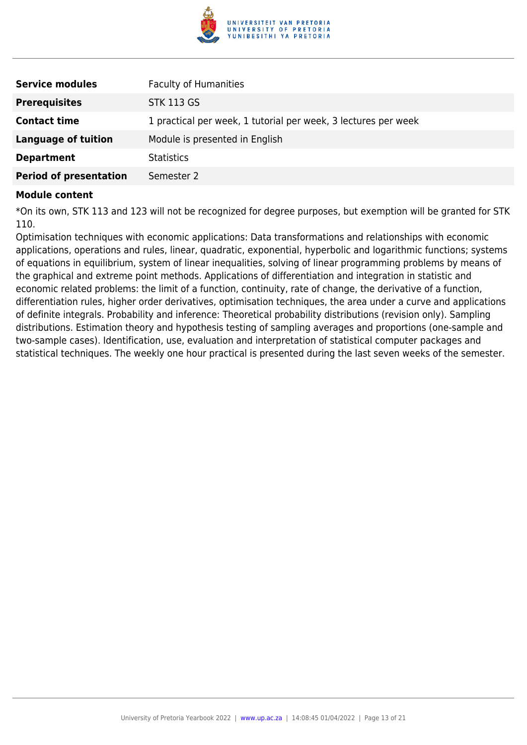

| <b>Service modules</b>        | <b>Faculty of Humanities</b>                                   |
|-------------------------------|----------------------------------------------------------------|
| <b>Prerequisites</b>          | <b>STK 113 GS</b>                                              |
| <b>Contact time</b>           | 1 practical per week, 1 tutorial per week, 3 lectures per week |
| Language of tuition           | Module is presented in English                                 |
| <b>Department</b>             | <b>Statistics</b>                                              |
| <b>Period of presentation</b> | Semester 2                                                     |

\*On its own, STK 113 and 123 will not be recognized for degree purposes, but exemption will be granted for STK 110.

Optimisation techniques with economic applications: Data transformations and relationships with economic applications, operations and rules, linear, quadratic, exponential, hyperbolic and logarithmic functions; systems of equations in equilibrium, system of linear inequalities, solving of linear programming problems by means of the graphical and extreme point methods. Applications of differentiation and integration in statistic and economic related problems: the limit of a function, continuity, rate of change, the derivative of a function, differentiation rules, higher order derivatives, optimisation techniques, the area under a curve and applications of definite integrals. Probability and inference: Theoretical probability distributions (revision only). Sampling distributions. Estimation theory and hypothesis testing of sampling averages and proportions (one-sample and two-sample cases). Identification, use, evaluation and interpretation of statistical computer packages and statistical techniques. The weekly one hour practical is presented during the last seven weeks of the semester.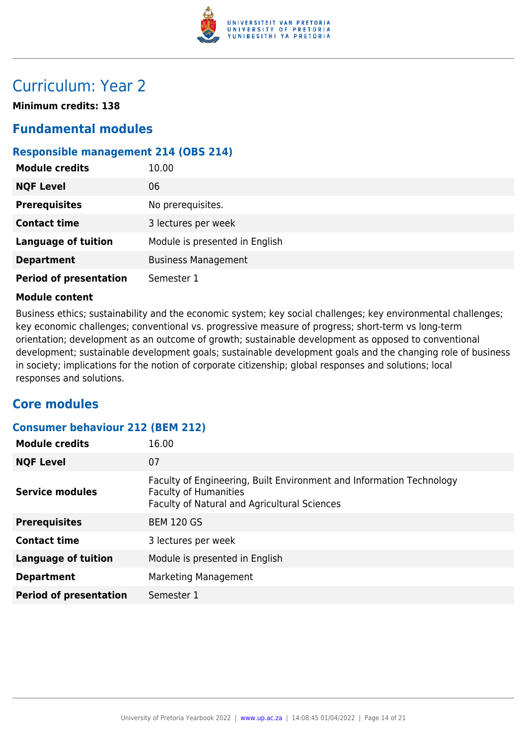

# Curriculum: Year 2

**Minimum credits: 138**

# **Fundamental modules**

# **Responsible management 214 (OBS 214)**

| <b>Module credits</b>         | 10.00                          |
|-------------------------------|--------------------------------|
| <b>NQF Level</b>              | 06                             |
| <b>Prerequisites</b>          | No prerequisites.              |
| <b>Contact time</b>           | 3 lectures per week            |
| <b>Language of tuition</b>    | Module is presented in English |
| <b>Department</b>             | <b>Business Management</b>     |
| <b>Period of presentation</b> | Semester 1                     |

#### **Module content**

Business ethics; sustainability and the economic system; key social challenges; key environmental challenges; key economic challenges; conventional vs. progressive measure of progress; short-term vs long-term orientation; development as an outcome of growth; sustainable development as opposed to conventional development; sustainable development goals; sustainable development goals and the changing role of business in society; implications for the notion of corporate citizenship; global responses and solutions; local responses and solutions.

# **Core modules**

| <b>Consumer behaviour 212 (BEM 212)</b> |  |  |
|-----------------------------------------|--|--|
|                                         |  |  |

| <b>Module credits</b>         | 16.00                                                                                                                                                |
|-------------------------------|------------------------------------------------------------------------------------------------------------------------------------------------------|
| <b>NQF Level</b>              | 07                                                                                                                                                   |
| Service modules               | Faculty of Engineering, Built Environment and Information Technology<br><b>Faculty of Humanities</b><br>Faculty of Natural and Agricultural Sciences |
| <b>Prerequisites</b>          | <b>BEM 120 GS</b>                                                                                                                                    |
| <b>Contact time</b>           | 3 lectures per week                                                                                                                                  |
| <b>Language of tuition</b>    | Module is presented in English                                                                                                                       |
| <b>Department</b>             | Marketing Management                                                                                                                                 |
| <b>Period of presentation</b> | Semester 1                                                                                                                                           |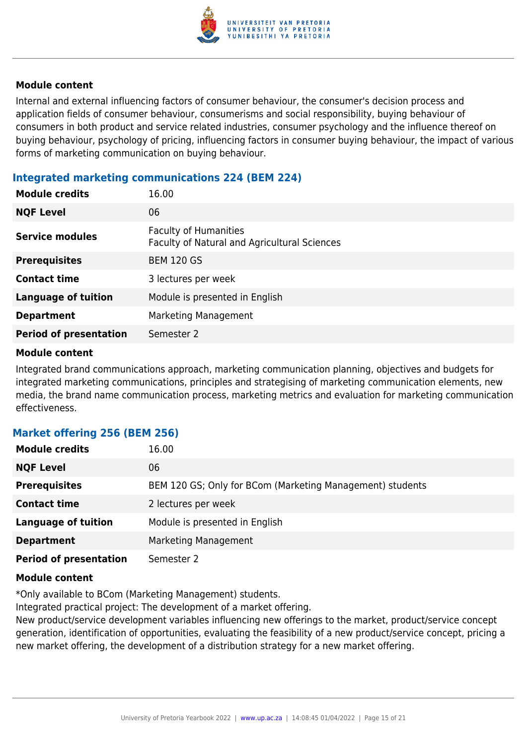

Internal and external influencing factors of consumer behaviour, the consumer's decision process and application fields of consumer behaviour, consumerisms and social responsibility, buying behaviour of consumers in both product and service related industries, consumer psychology and the influence thereof on buying behaviour, psychology of pricing, influencing factors in consumer buying behaviour, the impact of various forms of marketing communication on buying behaviour.

# **Integrated marketing communications 224 (BEM 224)**

| 06<br><b>NQF Level</b><br><b>Faculty of Humanities</b><br><b>Service modules</b> |
|----------------------------------------------------------------------------------|
|                                                                                  |
| Faculty of Natural and Agricultural Sciences                                     |
| <b>BEM 120 GS</b><br><b>Prerequisites</b>                                        |
| <b>Contact time</b><br>3 lectures per week                                       |
| <b>Language of tuition</b><br>Module is presented in English                     |
| Marketing Management<br><b>Department</b>                                        |
| <b>Period of presentation</b><br>Semester 2                                      |

#### **Module content**

Integrated brand communications approach, marketing communication planning, objectives and budgets for integrated marketing communications, principles and strategising of marketing communication elements, new media, the brand name communication process, marketing metrics and evaluation for marketing communication effectiveness.

# **Market offering 256 (BEM 256)**

| <b>Module credits</b>         | 16.00                                                     |
|-------------------------------|-----------------------------------------------------------|
| <b>NQF Level</b>              | 06                                                        |
| <b>Prerequisites</b>          | BEM 120 GS; Only for BCom (Marketing Management) students |
| <b>Contact time</b>           | 2 lectures per week                                       |
| <b>Language of tuition</b>    | Module is presented in English                            |
| <b>Department</b>             | Marketing Management                                      |
| <b>Period of presentation</b> | Semester 2                                                |

# **Module content**

\*Only available to BCom (Marketing Management) students.

Integrated practical project: The development of a market offering.

New product/service development variables influencing new offerings to the market, product/service concept generation, identification of opportunities, evaluating the feasibility of a new product/service concept, pricing a new market offering, the development of a distribution strategy for a new market offering.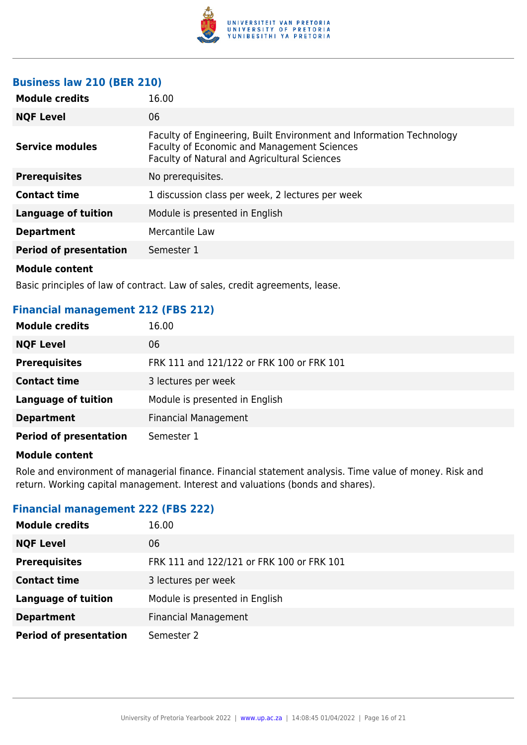

# **Business law 210 (BER 210)**

| <b>Module credits</b>         | 16.00                                                                                                                                                                      |
|-------------------------------|----------------------------------------------------------------------------------------------------------------------------------------------------------------------------|
| <b>NQF Level</b>              | 06                                                                                                                                                                         |
| Service modules               | Faculty of Engineering, Built Environment and Information Technology<br><b>Faculty of Economic and Management Sciences</b><br>Faculty of Natural and Agricultural Sciences |
| <b>Prerequisites</b>          | No prerequisites.                                                                                                                                                          |
| <b>Contact time</b>           | 1 discussion class per week, 2 lectures per week                                                                                                                           |
| <b>Language of tuition</b>    | Module is presented in English                                                                                                                                             |
| <b>Department</b>             | Mercantile Law                                                                                                                                                             |
| <b>Period of presentation</b> | Semester 1                                                                                                                                                                 |
| .                             |                                                                                                                                                                            |

#### **Module content**

Basic principles of law of contract. Law of sales, credit agreements, lease.

# **Financial management 212 (FBS 212)**

| <b>Module credits</b>         | 16.00                                     |
|-------------------------------|-------------------------------------------|
| <b>NQF Level</b>              | 06                                        |
| <b>Prerequisites</b>          | FRK 111 and 121/122 or FRK 100 or FRK 101 |
| <b>Contact time</b>           | 3 lectures per week                       |
| <b>Language of tuition</b>    | Module is presented in English            |
| <b>Department</b>             | <b>Financial Management</b>               |
| <b>Period of presentation</b> | Semester 1                                |

#### **Module content**

Role and environment of managerial finance. Financial statement analysis. Time value of money. Risk and return. Working capital management. Interest and valuations (bonds and shares).

# **Financial management 222 (FBS 222)**

| <b>Module credits</b>         | 16.00                                     |
|-------------------------------|-------------------------------------------|
| <b>NQF Level</b>              | 06                                        |
| <b>Prerequisites</b>          | FRK 111 and 122/121 or FRK 100 or FRK 101 |
| <b>Contact time</b>           | 3 lectures per week                       |
| <b>Language of tuition</b>    | Module is presented in English            |
| <b>Department</b>             | <b>Financial Management</b>               |
| <b>Period of presentation</b> | Semester 2                                |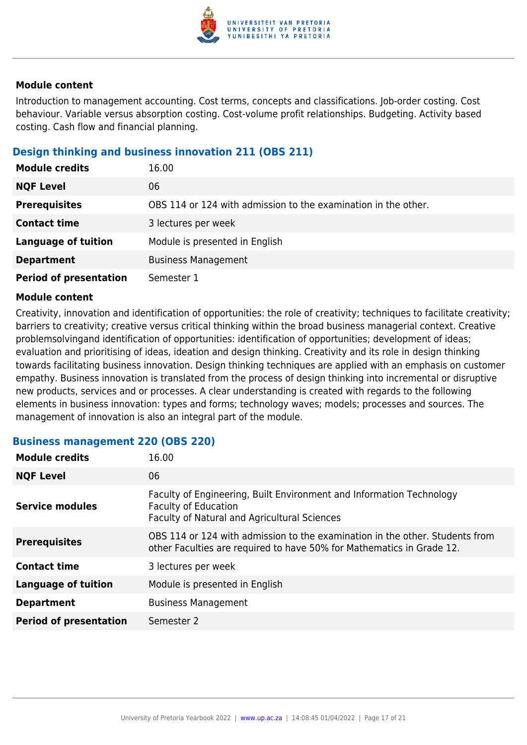

Introduction to management accounting. Cost terms, concepts and classifications. Job-order costing. Cost behaviour. Variable versus absorption costing. Cost-volume profit relationships. Budgeting. Activity based costing. Cash flow and financial planning.

# **Design thinking and business innovation 211 (OBS 211)**

| <b>Module credits</b>         | 16.00                                                          |
|-------------------------------|----------------------------------------------------------------|
| <b>NQF Level</b>              | 06                                                             |
| <b>Prerequisites</b>          | OBS 114 or 124 with admission to the examination in the other. |
| <b>Contact time</b>           | 3 lectures per week                                            |
| <b>Language of tuition</b>    | Module is presented in English                                 |
| <b>Department</b>             | <b>Business Management</b>                                     |
| <b>Period of presentation</b> | Semester 1                                                     |

#### **Module content**

Creativity, innovation and identification of opportunities: the role of creativity; techniques to facilitate creativity; barriers to creativity; creative versus critical thinking within the broad business managerial context. Creative problemsolvingand identification of opportunities: identification of opportunities; development of ideas; evaluation and prioritising of ideas, ideation and design thinking. Creativity and its role in design thinking towards facilitating business innovation. Design thinking techniques are applied with an emphasis on customer empathy. Business innovation is translated from the process of design thinking into incremental or disruptive new products, services and or processes. A clear understanding is created with regards to the following elements in business innovation: types and forms; technology waves; models; processes and sources. The management of innovation is also an integral part of the module.

# **Business management 220 (OBS 220)**

| <b>Module credits</b>         | 16.00                                                                                                                                                 |
|-------------------------------|-------------------------------------------------------------------------------------------------------------------------------------------------------|
| <b>NQF Level</b>              | 06                                                                                                                                                    |
| <b>Service modules</b>        | Faculty of Engineering, Built Environment and Information Technology<br><b>Faculty of Education</b><br>Faculty of Natural and Agricultural Sciences   |
| <b>Prerequisites</b>          | OBS 114 or 124 with admission to the examination in the other. Students from<br>other Faculties are required to have 50% for Mathematics in Grade 12. |
| <b>Contact time</b>           | 3 lectures per week                                                                                                                                   |
| <b>Language of tuition</b>    | Module is presented in English                                                                                                                        |
| <b>Department</b>             | <b>Business Management</b>                                                                                                                            |
| <b>Period of presentation</b> | Semester 2                                                                                                                                            |
|                               |                                                                                                                                                       |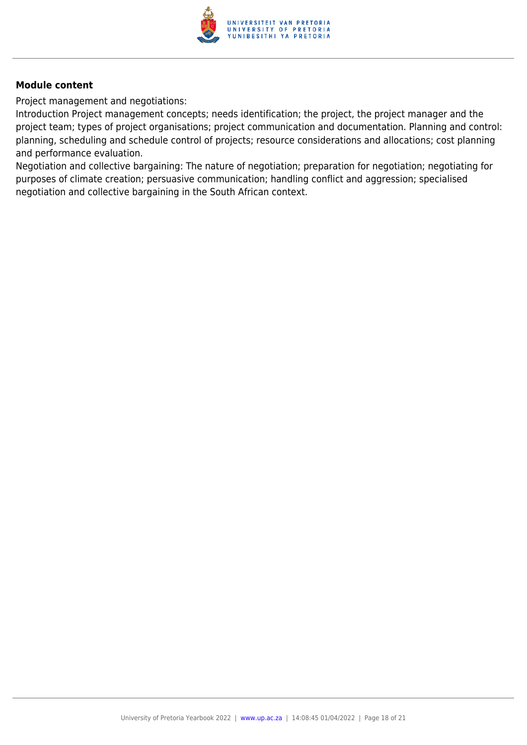

Project management and negotiations:

Introduction Project management concepts; needs identification; the project, the project manager and the project team; types of project organisations; project communication and documentation. Planning and control: planning, scheduling and schedule control of projects; resource considerations and allocations; cost planning and performance evaluation.

Negotiation and collective bargaining: The nature of negotiation; preparation for negotiation; negotiating for purposes of climate creation; persuasive communication; handling conflict and aggression; specialised negotiation and collective bargaining in the South African context.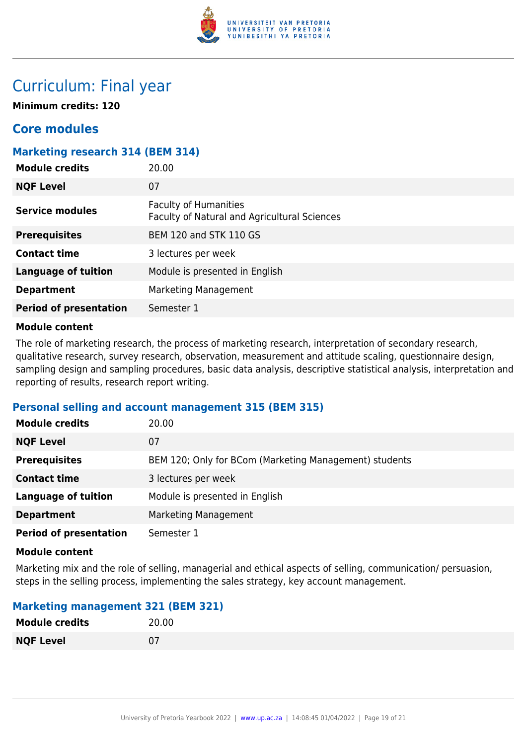

# Curriculum: Final year

**Minimum credits: 120**

# **Core modules**

# **Marketing research 314 (BEM 314)**

| <b>Module credits</b>         | 20.00                                                                        |
|-------------------------------|------------------------------------------------------------------------------|
| <b>NQF Level</b>              | 07                                                                           |
| Service modules               | <b>Faculty of Humanities</b><br>Faculty of Natural and Agricultural Sciences |
| <b>Prerequisites</b>          | <b>BEM 120 and STK 110 GS</b>                                                |
| <b>Contact time</b>           | 3 lectures per week                                                          |
| <b>Language of tuition</b>    | Module is presented in English                                               |
| <b>Department</b>             | Marketing Management                                                         |
| <b>Period of presentation</b> | Semester 1                                                                   |

#### **Module content**

The role of marketing research, the process of marketing research, interpretation of secondary research, qualitative research, survey research, observation, measurement and attitude scaling, questionnaire design, sampling design and sampling procedures, basic data analysis, descriptive statistical analysis, interpretation and reporting of results, research report writing.

# **Personal selling and account management 315 (BEM 315)**

| <b>Module credits</b>         | 20.00                                                  |
|-------------------------------|--------------------------------------------------------|
| <b>NQF Level</b>              | 07                                                     |
| <b>Prerequisites</b>          | BEM 120; Only for BCom (Marketing Management) students |
| <b>Contact time</b>           | 3 lectures per week                                    |
| <b>Language of tuition</b>    | Module is presented in English                         |
| <b>Department</b>             | Marketing Management                                   |
| <b>Period of presentation</b> | Semester 1                                             |

#### **Module content**

Marketing mix and the role of selling, managerial and ethical aspects of selling, communication/ persuasion, steps in the selling process, implementing the sales strategy, key account management.

# **Marketing management 321 (BEM 321)**

| <b>Module credits</b> | 20.00 |
|-----------------------|-------|
| <b>NQF Level</b>      | 07    |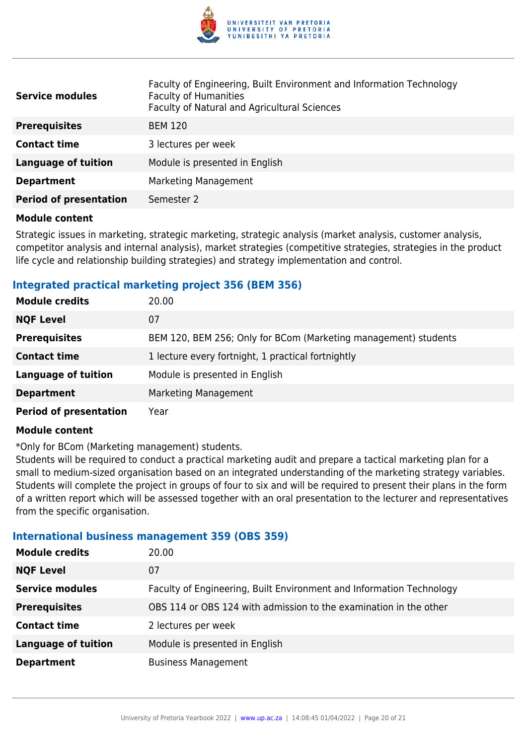

| <b>Service modules</b>        | Faculty of Engineering, Built Environment and Information Technology<br><b>Faculty of Humanities</b><br>Faculty of Natural and Agricultural Sciences |
|-------------------------------|------------------------------------------------------------------------------------------------------------------------------------------------------|
| <b>Prerequisites</b>          | <b>BEM 120</b>                                                                                                                                       |
| <b>Contact time</b>           | 3 lectures per week                                                                                                                                  |
| Language of tuition           | Module is presented in English                                                                                                                       |
| <b>Department</b>             | Marketing Management                                                                                                                                 |
| <b>Period of presentation</b> | Semester 2                                                                                                                                           |

Strategic issues in marketing, strategic marketing, strategic analysis (market analysis, customer analysis, competitor analysis and internal analysis), market strategies (competitive strategies, strategies in the product life cycle and relationship building strategies) and strategy implementation and control.

# **Integrated practical marketing project 356 (BEM 356)**

| <b>Module credits</b>         | 20.00                                                           |
|-------------------------------|-----------------------------------------------------------------|
| <b>NQF Level</b>              | 07                                                              |
| <b>Prerequisites</b>          | BEM 120, BEM 256; Only for BCom (Marketing management) students |
| <b>Contact time</b>           | 1 lecture every fortnight, 1 practical fortnightly              |
| <b>Language of tuition</b>    | Module is presented in English                                  |
| <b>Department</b>             | Marketing Management                                            |
| <b>Period of presentation</b> | Year                                                            |

#### **Module content**

\*Only for BCom (Marketing management) students.

Students will be required to conduct a practical marketing audit and prepare a tactical marketing plan for a small to medium-sized organisation based on an integrated understanding of the marketing strategy variables. Students will complete the project in groups of four to six and will be required to present their plans in the form of a written report which will be assessed together with an oral presentation to the lecturer and representatives from the specific organisation.

# **International business management 359 (OBS 359)**

| <b>Module credits</b>      | 20.00                                                                |
|----------------------------|----------------------------------------------------------------------|
| <b>NQF Level</b>           | 07                                                                   |
| <b>Service modules</b>     | Faculty of Engineering, Built Environment and Information Technology |
| <b>Prerequisites</b>       | OBS 114 or OBS 124 with admission to the examination in the other    |
| <b>Contact time</b>        | 2 lectures per week                                                  |
| <b>Language of tuition</b> | Module is presented in English                                       |
| <b>Department</b>          | <b>Business Management</b>                                           |